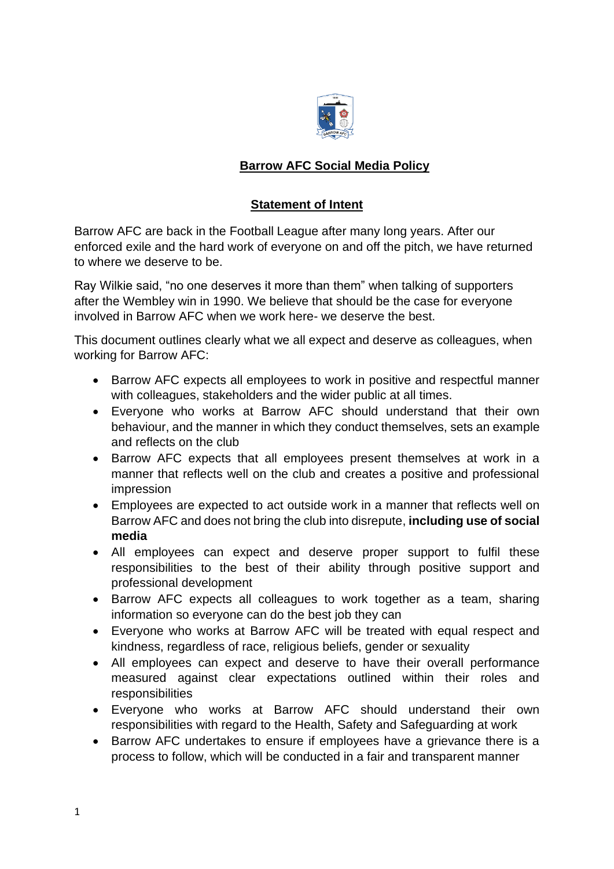

## **Barrow AFC Social Media Policy**

## **Statement of Intent**

Barrow AFC are back in the Football League after many long years. After our enforced exile and the hard work of everyone on and off the pitch, we have returned to where we deserve to be.

Ray Wilkie said, "no one deserves it more than them" when talking of supporters after the Wembley win in 1990. We believe that should be the case for everyone involved in Barrow AFC when we work here- we deserve the best.

This document outlines clearly what we all expect and deserve as colleagues, when working for Barrow AFC:

- Barrow AFC expects all employees to work in positive and respectful manner with colleagues, stakeholders and the wider public at all times.
- Everyone who works at Barrow AFC should understand that their own behaviour, and the manner in which they conduct themselves, sets an example and reflects on the club
- Barrow AFC expects that all employees present themselves at work in a manner that reflects well on the club and creates a positive and professional impression
- Employees are expected to act outside work in a manner that reflects well on Barrow AFC and does not bring the club into disrepute, **including use of social media**
- All employees can expect and deserve proper support to fulfil these responsibilities to the best of their ability through positive support and professional development
- Barrow AFC expects all colleagues to work together as a team, sharing information so everyone can do the best job they can
- Everyone who works at Barrow AFC will be treated with equal respect and kindness, regardless of race, religious beliefs, gender or sexuality
- All employees can expect and deserve to have their overall performance measured against clear expectations outlined within their roles and responsibilities
- Everyone who works at Barrow AFC should understand their own responsibilities with regard to the Health, Safety and Safeguarding at work
- Barrow AFC undertakes to ensure if employees have a grievance there is a process to follow, which will be conducted in a fair and transparent manner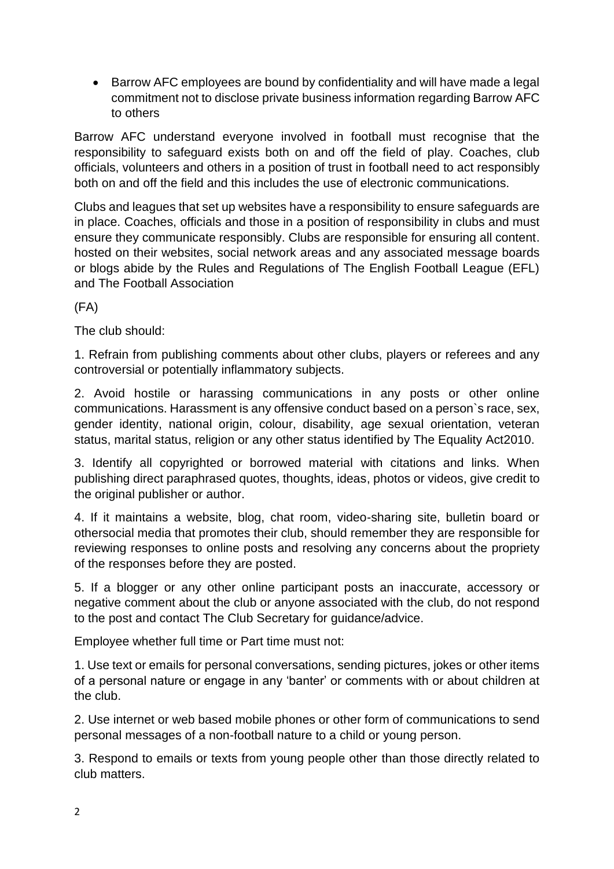• Barrow AFC employees are bound by confidentiality and will have made a legal commitment not to disclose private business information regarding Barrow AFC to others

Barrow AFC understand everyone involved in football must recognise that the responsibility to safeguard exists both on and off the field of play. Coaches, club officials, volunteers and others in a position of trust in football need to act responsibly both on and off the field and this includes the use of electronic communications.

Clubs and leagues that set up websites have a responsibility to ensure safeguards are in place. Coaches, officials and those in a position of responsibility in clubs and must ensure they communicate responsibly. Clubs are responsible for ensuring all content. hosted on their websites, social network areas and any associated message boards or blogs abide by the Rules and Regulations of The English Football League (EFL) and The Football Association

(FA)

The club should:

1. Refrain from publishing comments about other clubs, players or referees and any controversial or potentially inflammatory subjects.

2. Avoid hostile or harassing communications in any posts or other online communications. Harassment is any offensive conduct based on a person`s race, sex, gender identity, national origin, colour, disability, age sexual orientation, veteran status, marital status, religion or any other status identified by The Equality Act2010.

3. Identify all copyrighted or borrowed material with citations and links. When publishing direct paraphrased quotes, thoughts, ideas, photos or videos, give credit to the original publisher or author.

4. If it maintains a website, blog, chat room, video-sharing site, bulletin board or othersocial media that promotes their club, should remember they are responsible for reviewing responses to online posts and resolving any concerns about the propriety of the responses before they are posted.

5. If a blogger or any other online participant posts an inaccurate, accessory or negative comment about the club or anyone associated with the club, do not respond to the post and contact The Club Secretary for guidance/advice.

Employee whether full time or Part time must not:

1. Use text or emails for personal conversations, sending pictures, jokes or other items of a personal nature or engage in any 'banter' or comments with or about children at the club.

2. Use internet or web based mobile phones or other form of communications to send personal messages of a non-football nature to a child or young person.

3. Respond to emails or texts from young people other than those directly related to club matters.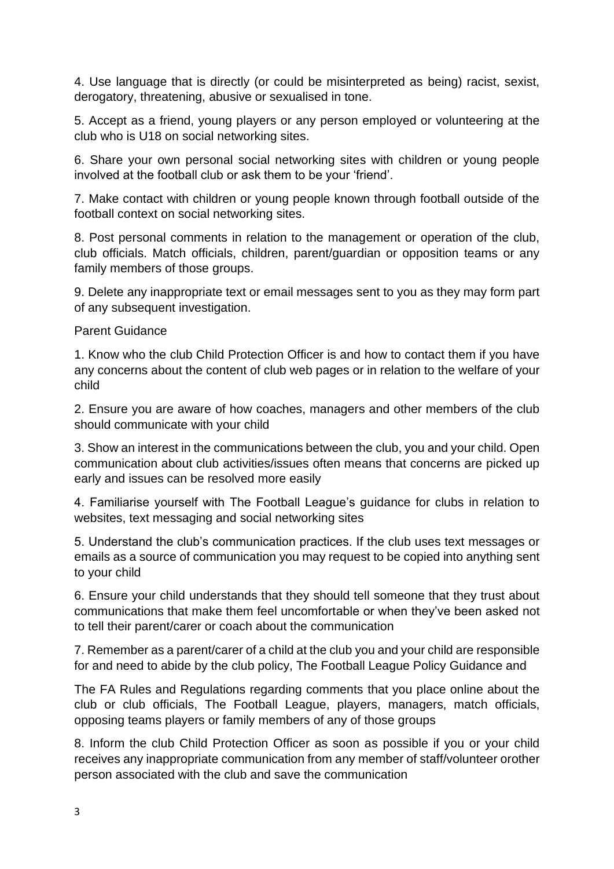4. Use language that is directly (or could be misinterpreted as being) racist, sexist, derogatory, threatening, abusive or sexualised in tone.

5. Accept as a friend, young players or any person employed or volunteering at the club who is U18 on social networking sites.

6. Share your own personal social networking sites with children or young people involved at the football club or ask them to be your 'friend'.

7. Make contact with children or young people known through football outside of the football context on social networking sites.

8. Post personal comments in relation to the management or operation of the club, club officials. Match officials, children, parent/guardian or opposition teams or any family members of those groups.

9. Delete any inappropriate text or email messages sent to you as they may form part of any subsequent investigation.

Parent Guidance

1. Know who the club Child Protection Officer is and how to contact them if you have any concerns about the content of club web pages or in relation to the welfare of your child

2. Ensure you are aware of how coaches, managers and other members of the club should communicate with your child

3. Show an interest in the communications between the club, you and your child. Open communication about club activities/issues often means that concerns are picked up early and issues can be resolved more easily

4. Familiarise yourself with The Football League's guidance for clubs in relation to websites, text messaging and social networking sites

5. Understand the club's communication practices. If the club uses text messages or emails as a source of communication you may request to be copied into anything sent to your child

6. Ensure your child understands that they should tell someone that they trust about communications that make them feel uncomfortable or when they've been asked not to tell their parent/carer or coach about the communication

7. Remember as a parent/carer of a child at the club you and your child are responsible for and need to abide by the club policy, The Football League Policy Guidance and

The FA Rules and Regulations regarding comments that you place online about the club or club officials, The Football League, players, managers, match officials, opposing teams players or family members of any of those groups

8. Inform the club Child Protection Officer as soon as possible if you or your child receives any inappropriate communication from any member of staff/volunteer orother person associated with the club and save the communication